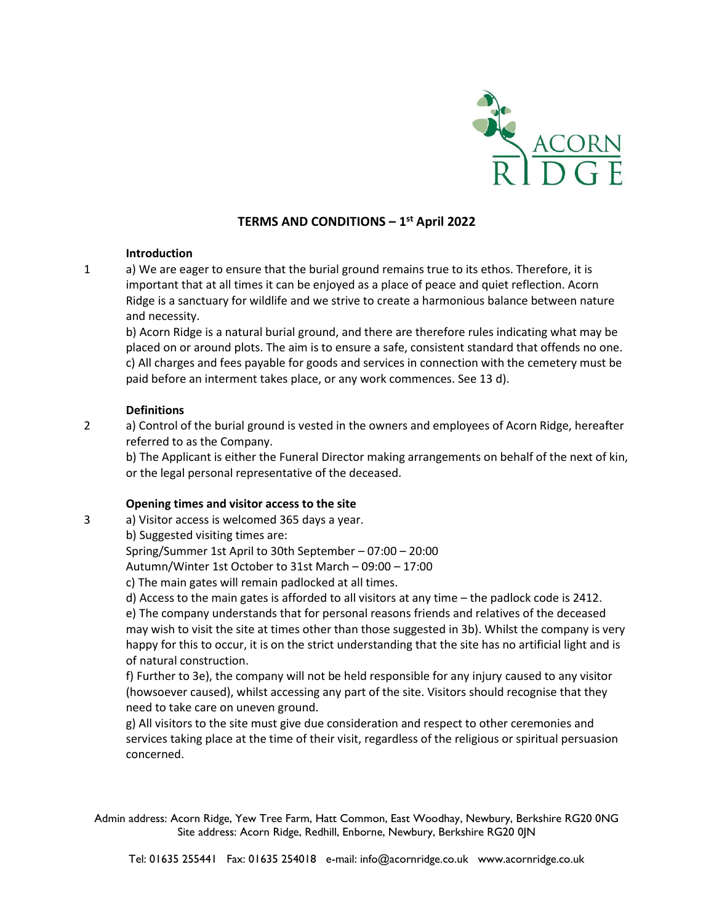

# **TERMS AND CONDITIONS – 1 st April 2022**

## **Introduction**

1 a) We are eager to ensure that the burial ground remains true to its ethos. Therefore, it is important that at all times it can be enjoyed as a place of peace and quiet reflection. Acorn Ridge is a sanctuary for wildlife and we strive to create a harmonious balance between nature and necessity.

b) Acorn Ridge is a natural burial ground, and there are therefore rules indicating what may be placed on or around plots. The aim is to ensure a safe, consistent standard that offends no one. c) All charges and fees payable for goods and services in connection with the cemetery must be paid before an interment takes place, or any work commences. See 13 d).

## **Definitions**

2 a) Control of the burial ground is vested in the owners and employees of Acorn Ridge, hereafter referred to as the Company.

b) The Applicant is either the Funeral Director making arrangements on behalf of the next of kin, or the legal personal representative of the deceased.

# **Opening times and visitor access to the site**

3 a) Visitor access is welcomed 365 days a year.

b) Suggested visiting times are:

Spring/Summer 1st April to 30th September – 07:00 – 20:00

Autumn/Winter 1st October to 31st March – 09:00 – 17:00

c) The main gates will remain padlocked at all times.

d) Access to the main gates is afforded to all visitors at any time – the padlock code is 2412. e) The company understands that for personal reasons friends and relatives of the deceased may wish to visit the site at times other than those suggested in 3b). Whilst the company is very happy for this to occur, it is on the strict understanding that the site has no artificial light and is of natural construction.

f) Further to 3e), the company will not be held responsible for any injury caused to any visitor (howsoever caused), whilst accessing any part of the site. Visitors should recognise that they need to take care on uneven ground.

g) All visitors to the site must give due consideration and respect to other ceremonies and services taking place at the time of their visit, regardless of the religious or spiritual persuasion concerned.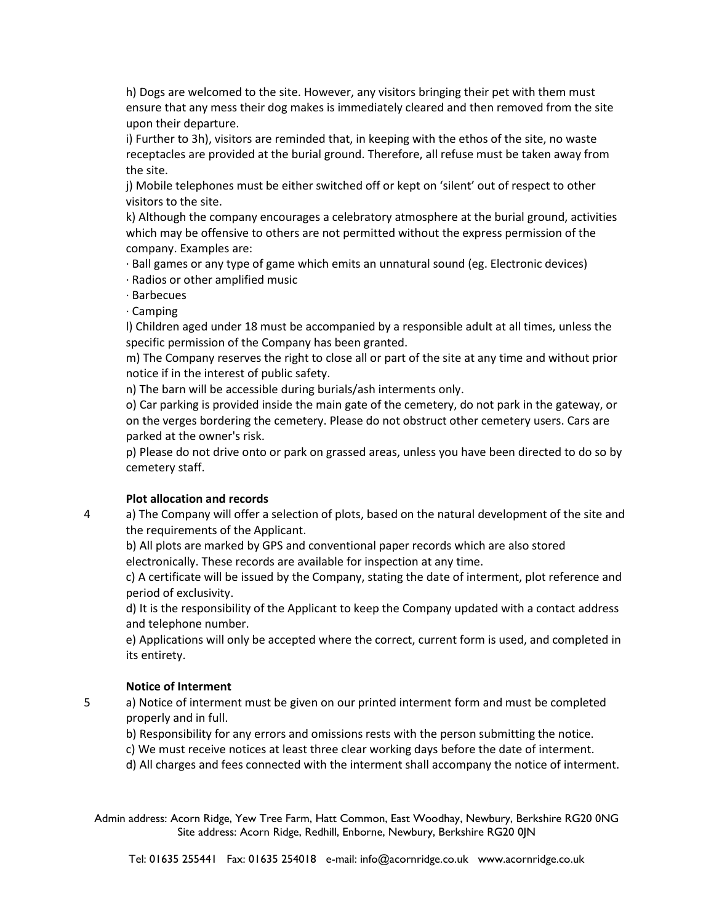h) Dogs are welcomed to the site. However, any visitors bringing their pet with them must ensure that any mess their dog makes is immediately cleared and then removed from the site upon their departure.

i) Further to 3h), visitors are reminded that, in keeping with the ethos of the site, no waste receptacles are provided at the burial ground. Therefore, all refuse must be taken away from the site.

j) Mobile telephones must be either switched off or kept on 'silent' out of respect to other visitors to the site.

k) Although the company encourages a celebratory atmosphere at the burial ground, activities which may be offensive to others are not permitted without the express permission of the company. Examples are:

· Ball games or any type of game which emits an unnatural sound (eg. Electronic devices) · Radios or other amplified music

· Barbecues

· Camping

l) Children aged under 18 must be accompanied by a responsible adult at all times, unless the specific permission of the Company has been granted.

m) The Company reserves the right to close all or part of the site at any time and without prior notice if in the interest of public safety.

n) The barn will be accessible during burials/ash interments only.

o) Car parking is provided inside the main gate of the cemetery, do not park in the gateway, or on the verges bordering the cemetery. Please do not obstruct other cemetery users. Cars are parked at the owner's risk.

p) Please do not drive onto or park on grassed areas, unless you have been directed to do so by cemetery staff.

# **Plot allocation and records**

4 a) The Company will offer a selection of plots, based on the natural development of the site and the requirements of the Applicant.

b) All plots are marked by GPS and conventional paper records which are also stored electronically. These records are available for inspection at any time.

c) A certificate will be issued by the Company, stating the date of interment, plot reference and period of exclusivity.

d) It is the responsibility of the Applicant to keep the Company updated with a contact address and telephone number.

e) Applications will only be accepted where the correct, current form is used, and completed in its entirety.

#### **Notice of Interment**

5 a) Notice of interment must be given on our printed interment form and must be completed properly and in full.

b) Responsibility for any errors and omissions rests with the person submitting the notice.

c) We must receive notices at least three clear working days before the date of interment.

d) All charges and fees connected with the interment shall accompany the notice of interment.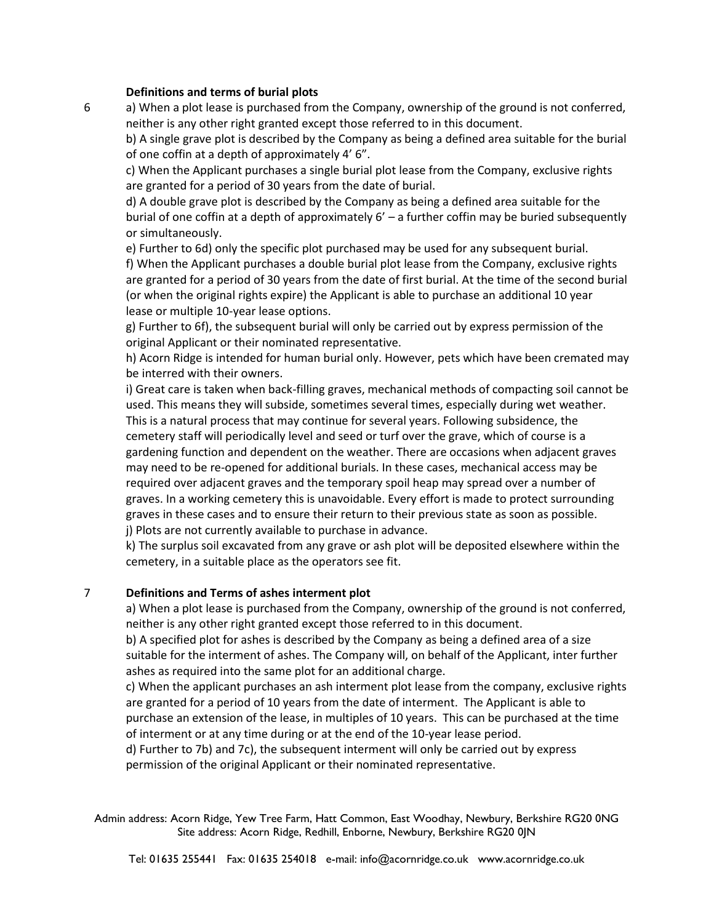#### **Definitions and terms of burial plots**

6 a) When a plot lease is purchased from the Company, ownership of the ground is not conferred, neither is any other right granted except those referred to in this document.

b) A single grave plot is described by the Company as being a defined area suitable for the burial of one coffin at a depth of approximately 4' 6".

c) When the Applicant purchases a single burial plot lease from the Company, exclusive rights are granted for a period of 30 years from the date of burial.

d) A double grave plot is described by the Company as being a defined area suitable for the burial of one coffin at a depth of approximately 6' – a further coffin may be buried subsequently or simultaneously.

e) Further to 6d) only the specific plot purchased may be used for any subsequent burial. f) When the Applicant purchases a double burial plot lease from the Company, exclusive rights are granted for a period of 30 years from the date of first burial. At the time of the second burial (or when the original rights expire) the Applicant is able to purchase an additional 10 year lease or multiple 10-year lease options.

g) Further to 6f), the subsequent burial will only be carried out by express permission of the original Applicant or their nominated representative.

h) Acorn Ridge is intended for human burial only. However, pets which have been cremated may be interred with their owners.

i) Great care is taken when back-filling graves, mechanical methods of compacting soil cannot be used. This means they will subside, sometimes several times, especially during wet weather. This is a natural process that may continue for several years. Following subsidence, the cemetery staff will periodically level and seed or turf over the grave, which of course is a gardening function and dependent on the weather. There are occasions when adjacent graves may need to be re-opened for additional burials. In these cases, mechanical access may be required over adjacent graves and the temporary spoil heap may spread over a number of graves. In a working cemetery this is unavoidable. Every effort is made to protect surrounding graves in these cases and to ensure their return to their previous state as soon as possible. j) Plots are not currently available to purchase in advance.

k) The surplus soil excavated from any grave or ash plot will be deposited elsewhere within the cemetery, in a suitable place as the operators see fit.

#### 7 **Definitions and Terms of ashes interment plot**

a) When a plot lease is purchased from the Company, ownership of the ground is not conferred, neither is any other right granted except those referred to in this document.

b) A specified plot for ashes is described by the Company as being a defined area of a size suitable for the interment of ashes. The Company will, on behalf of the Applicant, inter further ashes as required into the same plot for an additional charge.

c) When the applicant purchases an ash interment plot lease from the company, exclusive rights are granted for a period of 10 years from the date of interment. The Applicant is able to purchase an extension of the lease, in multiples of 10 years. This can be purchased at the time of interment or at any time during or at the end of the 10-year lease period.

d) Further to 7b) and 7c), the subsequent interment will only be carried out by express permission of the original Applicant or their nominated representative.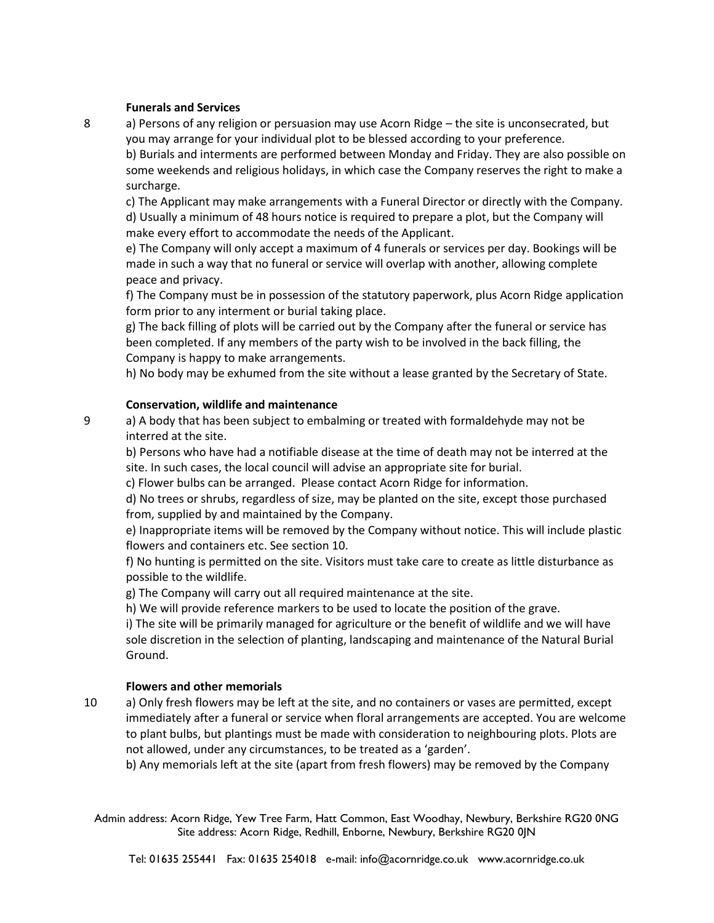## **Funerals and Services**

8 a) Persons of any religion or persuasion may use Acorn Ridge – the site is unconsecrated, but you may arrange for your individual plot to be blessed according to your preference. b) Burials and interments are performed between Monday and Friday. They are also possible on some weekends and religious holidays, in which case the Company reserves the right to make a surcharge.

c) The Applicant may make arrangements with a Funeral Director or directly with the Company. d) Usually a minimum of 48 hours notice is required to prepare a plot, but the Company will make every effort to accommodate the needs of the Applicant.

e) The Company will only accept a maximum of 4 funerals or services per day. Bookings will be made in such a way that no funeral or service will overlap with another, allowing complete peace and privacy.

f) The Company must be in possession of the statutory paperwork, plus Acorn Ridge application form prior to any interment or burial taking place.

g) The back filling of plots will be carried out by the Company after the funeral or service has been completed. If any members of the party wish to be involved in the back filling, the Company is happy to make arrangements.

h) No body may be exhumed from the site without a lease granted by the Secretary of State.

## **Conservation, wildlife and maintenance**

9 a) A body that has been subject to embalming or treated with formaldehyde may not be interred at the site.

b) Persons who have had a notifiable disease at the time of death may not be interred at the site. In such cases, the local council will advise an appropriate site for burial.

c) Flower bulbs can be arranged. Please contact Acorn Ridge for information.

d) No trees or shrubs, regardless of size, may be planted on the site, except those purchased from, supplied by and maintained by the Company.

e) Inappropriate items will be removed by the Company without notice. This will include plastic flowers and containers etc. See section 10.

f) No hunting is permitted on the site. Visitors must take care to create as little disturbance as possible to the wildlife.

g) The Company will carry out all required maintenance at the site.

h) We will provide reference markers to be used to locate the position of the grave.

i) The site will be primarily managed for agriculture or the benefit of wildlife and we will have sole discretion in the selection of planting, landscaping and maintenance of the Natural Burial Ground.

# **Flowers and other memorials**

10 a) Only fresh flowers may be left at the site, and no containers or vases are permitted, except immediately after a funeral or service when floral arrangements are accepted. You are welcome to plant bulbs, but plantings must be made with consideration to neighbouring plots. Plots are not allowed, under any circumstances, to be treated as a 'garden'.

b) Any memorials left at the site (apart from fresh flowers) may be removed by the Company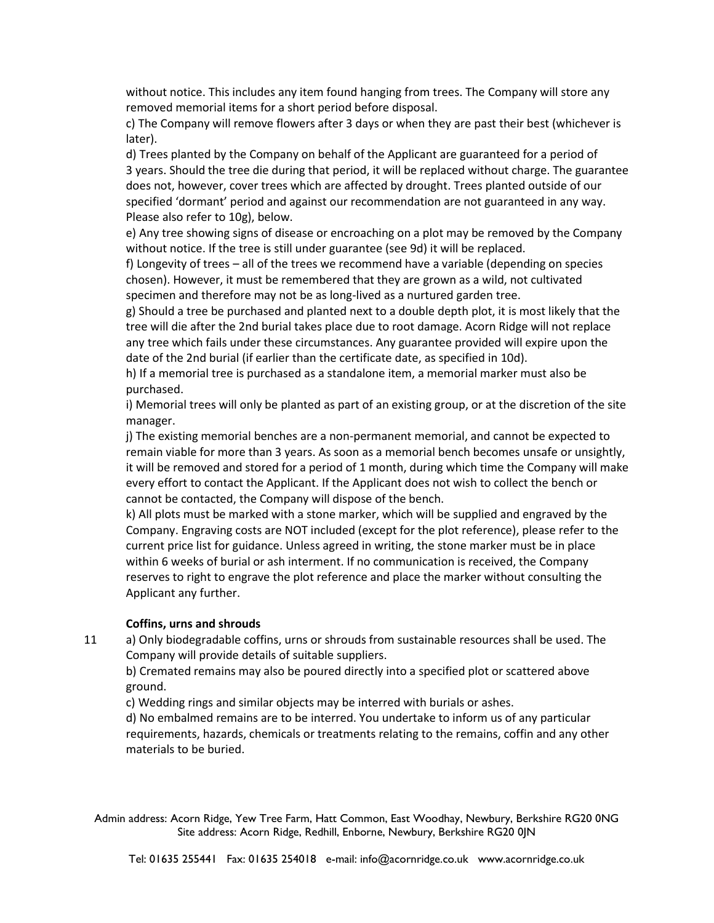without notice. This includes any item found hanging from trees. The Company will store any removed memorial items for a short period before disposal.

c) The Company will remove flowers after 3 days or when they are past their best (whichever is later).

d) Trees planted by the Company on behalf of the Applicant are guaranteed for a period of 3 years. Should the tree die during that period, it will be replaced without charge. The guarantee does not, however, cover trees which are affected by drought. Trees planted outside of our specified 'dormant' period and against our recommendation are not guaranteed in any way. Please also refer to 10g), below.

e) Any tree showing signs of disease or encroaching on a plot may be removed by the Company without notice. If the tree is still under guarantee (see 9d) it will be replaced.

f) Longevity of trees – all of the trees we recommend have a variable (depending on species chosen). However, it must be remembered that they are grown as a wild, not cultivated specimen and therefore may not be as long-lived as a nurtured garden tree.

g) Should a tree be purchased and planted next to a double depth plot, it is most likely that the tree will die after the 2nd burial takes place due to root damage. Acorn Ridge will not replace any tree which fails under these circumstances. Any guarantee provided will expire upon the date of the 2nd burial (if earlier than the certificate date, as specified in 10d).

h) If a memorial tree is purchased as a standalone item, a memorial marker must also be purchased.

i) Memorial trees will only be planted as part of an existing group, or at the discretion of the site manager.

j) The existing memorial benches are a non-permanent memorial, and cannot be expected to remain viable for more than 3 years. As soon as a memorial bench becomes unsafe or unsightly, it will be removed and stored for a period of 1 month, during which time the Company will make every effort to contact the Applicant. If the Applicant does not wish to collect the bench or cannot be contacted, the Company will dispose of the bench.

k) All plots must be marked with a stone marker, which will be supplied and engraved by the Company. Engraving costs are NOT included (except for the plot reference), please refer to the current price list for guidance. Unless agreed in writing, the stone marker must be in place within 6 weeks of burial or ash interment. If no communication is received, the Company reserves to right to engrave the plot reference and place the marker without consulting the Applicant any further.

#### **Coffins, urns and shrouds**

11 a) Only biodegradable coffins, urns or shrouds from sustainable resources shall be used. The Company will provide details of suitable suppliers.

b) Cremated remains may also be poured directly into a specified plot or scattered above ground.

c) Wedding rings and similar objects may be interred with burials or ashes.

d) No embalmed remains are to be interred. You undertake to inform us of any particular requirements, hazards, chemicals or treatments relating to the remains, coffin and any other materials to be buried.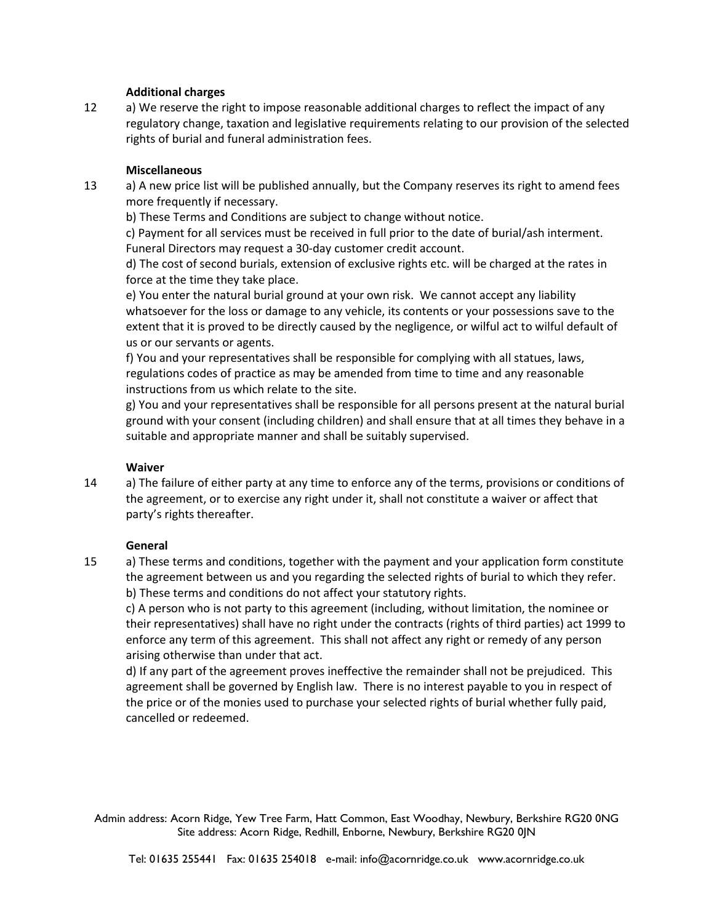## **Additional charges**

12 a) We reserve the right to impose reasonable additional charges to reflect the impact of any regulatory change, taxation and legislative requirements relating to our provision of the selected rights of burial and funeral administration fees.

# **Miscellaneous**

13 a) A new price list will be published annually, but the Company reserves its right to amend fees more frequently if necessary.

b) These Terms and Conditions are subject to change without notice.

c) Payment for all services must be received in full prior to the date of burial/ash interment. Funeral Directors may request a 30-day customer credit account.

d) The cost of second burials, extension of exclusive rights etc. will be charged at the rates in force at the time they take place.

e) You enter the natural burial ground at your own risk. We cannot accept any liability whatsoever for the loss or damage to any vehicle, its contents or your possessions save to the extent that it is proved to be directly caused by the negligence, or wilful act to wilful default of us or our servants or agents.

f) You and your representatives shall be responsible for complying with all statues, laws, regulations codes of practice as may be amended from time to time and any reasonable instructions from us which relate to the site.

g) You and your representatives shall be responsible for all persons present at the natural burial ground with your consent (including children) and shall ensure that at all times they behave in a suitable and appropriate manner and shall be suitably supervised.

#### **Waiver**

14 a) The failure of either party at any time to enforce any of the terms, provisions or conditions of the agreement, or to exercise any right under it, shall not constitute a waiver or affect that party's rights thereafter.

#### **General**

15 a) These terms and conditions, together with the payment and your application form constitute the agreement between us and you regarding the selected rights of burial to which they refer. b) These terms and conditions do not affect your statutory rights.

c) A person who is not party to this agreement (including, without limitation, the nominee or their representatives) shall have no right under the contracts (rights of third parties) act 1999 to enforce any term of this agreement. This shall not affect any right or remedy of any person arising otherwise than under that act.

d) If any part of the agreement proves ineffective the remainder shall not be prejudiced. This agreement shall be governed by English law. There is no interest payable to you in respect of the price or of the monies used to purchase your selected rights of burial whether fully paid, cancelled or redeemed.